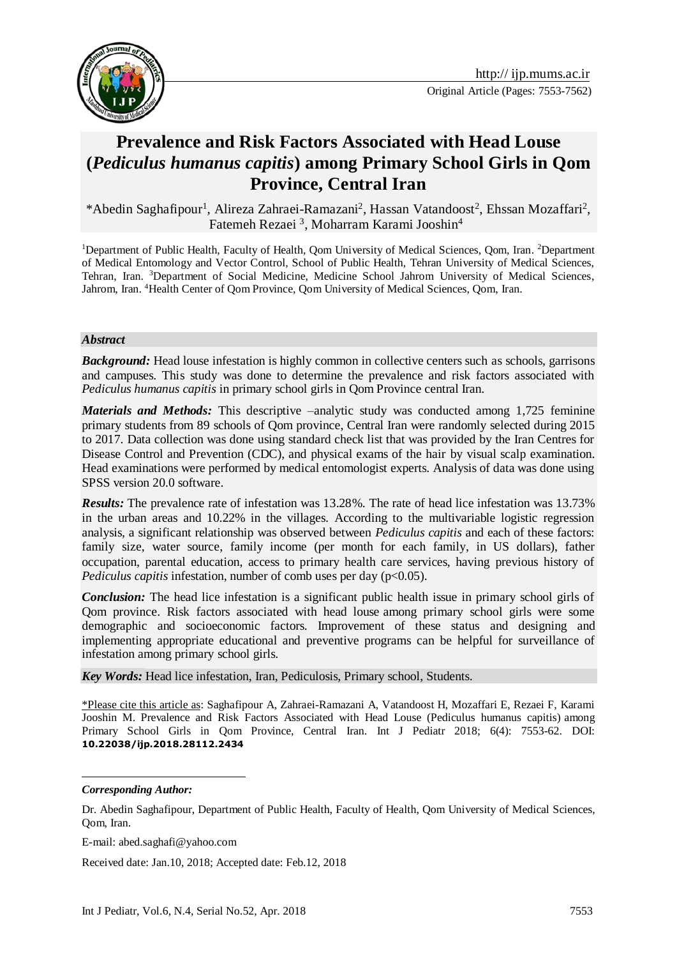

# **Prevalence and Risk Factors Associated with Head Louse (***Pediculus humanus capitis***) among Primary School Girls in Qom Province, Central Iran**

\*Abedin Saghafipour<sup>1</sup>, Alireza Zahraei-Ramazani<sup>2</sup>, Hassan Vatandoost<sup>2</sup>, Ehssan Mozaffari<sup>2</sup>, Fatemeh Rezaei<sup>3</sup>, Moharram Karami Jooshin<sup>4</sup>

<sup>1</sup>Department of Public Health, Faculty of Health, Qom University of Medical Sciences, Qom, Iran. <sup>2</sup>Department of Medical Entomology and Vector Control, School of Public Health, Tehran University of Medical Sciences, Tehran, Iran. <sup>3</sup>Department of Social Medicine, Medicine School Jahrom University of Medical Sciences, Jahrom, Iran. <sup>4</sup>Health Center of Qom Province, Qom University of Medical Sciences, Qom, Iran.

#### *Abstract*

*Background:* Head louse infestation is highly common in collective centers such as schools, garrisons and campuses. This study was done to determine the prevalence and risk factors associated with *Pediculus humanus capitis* in primary school girls in Qom Province central Iran.

*Materials and Methods:* This descriptive –analytic study was conducted among 1,725 feminine primary students from 89 schools of Qom province, Central Iran were randomly selected during 2015 to 2017. Data collection was done using standard check list that was provided by the Iran Centres for Disease Control and Prevention (CDC), and physical exams of the hair by visual scalp examination. Head examinations were performed by medical entomologist experts. Analysis of data was done using SPSS version 20.0 software.

*Results:* The prevalence rate of infestation was 13.28%. The rate of head lice infestation was 13.73% in the urban areas and 10.22% in the villages. According to the multivariable logistic regression analysis, a significant relationship was observed between *Pediculus capitis* and each of these factors: family size, water source, family income (per month for each family, in US dollars), father occupation, parental education, access to primary health care services, having previous history of *Pediculus capitis* infestation, number of comb uses per day (p<0.05).

*Conclusion:* The head lice infestation is a significant public health issue in primary school girls of Qom province. Risk factors associated with head louse among primary school girls were some demographic and socioeconomic factors. Improvement of these status and designing and implementing appropriate educational and preventive programs can be helpful for surveillance of infestation among primary school girls.

*Key Words:* Head lice infestation, Iran, Pediculosis, Primary school, Students.

\*Please cite this article as: Saghafipour A, Zahraei-Ramazani A, Vatandoost H, Mozaffari E, Rezaei F, Karami Jooshin M. Prevalence and Risk Factors Associated with Head Louse (Pediculus humanus capitis) among Primary School Girls in Qom Province, Central Iran. Int J Pediatr 2018; 6(4): 7553-62. DOI: **10.22038/ijp.2018.28112.2434**

-

*Corresponding Author:*

Dr. Abedin Saghafipour, Department of Public Health, Faculty of Health, Qom University of Medical Sciences, Qom, Iran.

E-mail: abed.saghafi@yahoo.com

Received date: Jan.10, 2018; Accepted date: Feb.12, 2018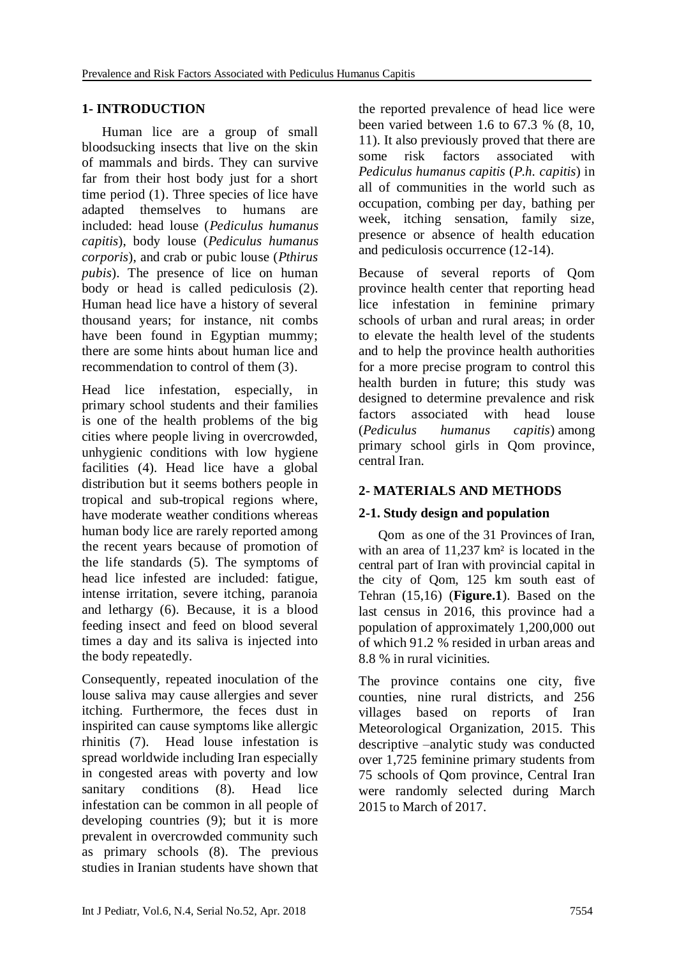## **1- INTRODUCTION**

 Human lice are a group of small bloodsucking insects that live on the skin of mammals and birds. They can survive far from their host body just for a short time period [\(1\).](http://www.ijtrichology.com/article.asp?issn=0974-7753;year=2017;volume=9;issue=4;spage=147;epage=148;aulast=Cataldo-Cerda#ref6) Three species of lice have adapted themselves to humans are included: head louse (*Pediculus humanus capitis*), body louse (*Pediculus humanus corporis*), and crab or pubic louse (*Pthirus pubis*). The presence of lice on human body or head is called [pediculosis](https://www.google.com/search?biw=1608&bih=827&q=human+body+or+head+is+called+pediculosis&spell=1&sa=X&ved=0ahUKEwjwuPS-oOfRAhVBmBQKHW_uCPAQvwUIFigA) (2). Human head lice have a history of several thousand years; for instance, nit combs have been found in Egyptian mummy; there are some hints about human lice and recommendation to control of them (3).

Head lice infestation, especially, in primary school students and their families is one of the health problems of the big cities where people living in overcrowded, unhygienic conditions with low hygiene facilities (4). Head lice have a global distribution but it seems bothers people in tropical and sub-tropical regions where, have moderate weather conditions whereas human body lice are rarely reported among the recent years because of promotion of the life standards (5). The symptoms of head lice infested are included: fatigue, intense irritation, severe itching, paranoia and lethargy (6). Because, it is a blood feeding insect and feed on blood several times a day and its saliva is injected into the body repeatedly.

Consequently, repeated inoculation of the louse saliva may cause allergies and sever itching. Furthermore, the feces dust in inspirited can cause symptoms like allergic rhinitis (7). Head louse infestation is spread worldwide including Iran especially in congested areas with poverty and low sanitary conditions (8). Head lice infestation can be common in all people of developing countries (9); but it is more prevalent in overcrowded community such as primary schools (8). The previous studies in Iranian students have shown that the reported prevalence of head lice were been varied between 1.6 to 67.3 % (8, 10, 11). It also previously proved that there are some risk factors associated with *Pediculus humanus capitis* (*P.h. capitis*) in all of communities in the world such as occupation, combing per day, bathing per week, itching sensation, family size, presence or absence of health education and pediculosis occurrence (12-14).

Because of several reports of Qom province health center that reporting head lice infestation in feminine primary schools of urban and rural areas; in order to elevate the health level of the students and to help the province health authorities for a more precise program to control this health burden in future; this study was designed to determine prevalence and risk factors associated with head louse (*Pediculus humanus capitis*) among primary school girls in Qom province, central Iran.

# **2- MATERIALS AND METHODS**

#### **2-1. Study design and population**

 Qom as one of the 31 [Provinces](http://en.wikipedia.org/wiki/Provinces_of_Iran) of [Iran,](http://en.wikipedia.org/wiki/Iran) with an area of 11,237 km<sup>2</sup> is located in the central part of Iran with provincial capital in the city of [Qom,](http://en.wikipedia.org/wiki/Qom) 125 km south east of Tehran (15,16) (**Figure.1**). Based on the last census in 2016, this province had a population of approximately 1,200,000 out of which 91.2 % resided in urban areas and 8.8 % in rural vicinities.

The province contains one city, five counties, nine rural districts, and 256 villages based on reports of Iran Meteorological Organization, 2015. This descriptive –analytic study was conducted over 1,725 feminine primary students from 75 schools of Qom province, Central Iran were randomly selected during March 2015 to March of 2017.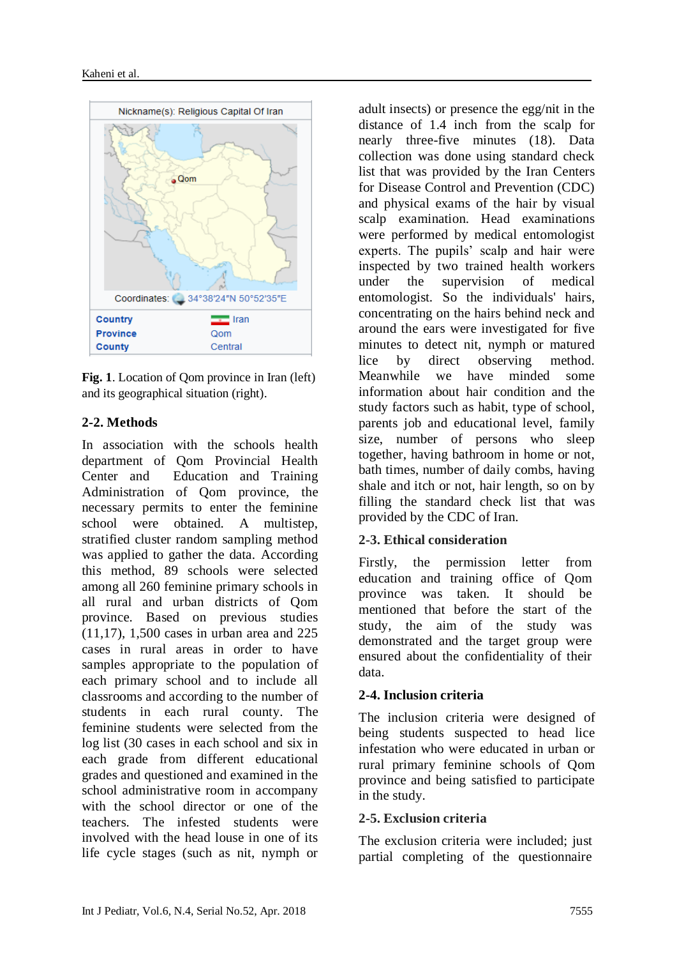

**Fig. 1**. Location of Qom province in Iran (left) and its geographical situation (right).

#### **2-2. Methods**

In association with the schools health department of Qom Provincial Health Center and [Education and Training](https://www.google.com/url?sa=t&rct=j&q=&esrc=s&source=web&cd=1&cad=rja&uact=8&ved=0ahUKEwifxcOKndLZAhVGJ1AKHdqABSsQFgglMAA&url=https%3A%2F%2Fwww2.gov.bc.ca%2Fgov%2Fcontent%2Fgovernments%2Forganizational-structure%2Fministries-organizations%2Fministries%2Feducation&usg=AOvVaw2RkmcFOnamQD0q5EGFZhNp)  [Administration of Qom province, t](https://www.google.com/url?sa=t&rct=j&q=&esrc=s&source=web&cd=1&cad=rja&uact=8&ved=0ahUKEwifxcOKndLZAhVGJ1AKHdqABSsQFgglMAA&url=https%3A%2F%2Fwww2.gov.bc.ca%2Fgov%2Fcontent%2Fgovernments%2Forganizational-structure%2Fministries-organizations%2Fministries%2Feducation&usg=AOvVaw2RkmcFOnamQD0q5EGFZhNp)he necessary permits to enter the feminine school were obtained. A multistep, stratified cluster random sampling method was applied to gather the data. According this method, 89 schools were selected among all 260 feminine primary schools in all rural and urban districts of Qom province. Based on previous studies (11,17), 1,500 cases in urban area and 225 cases in rural areas in order to have samples appropriate to the population of each primary school and to include all classrooms and according to the number of students in each rural county. The feminine students were selected from the log list (30 cases in each school and six in each grade from different educational grades and questioned and examined in the school administrative room in accompany with the school director or one of the teachers. The infested students were involved with the head louse in one of its life cycle stages (such as nit, nymph or

adult insects) or presence the egg/nit in the distance of 1.4 inch from the scalp for nearly three-five minutes (18). Data collection was done using standard check list that was provided by the Iran Centers for Disease Control and Prevention (CDC) and physical exams of the hair by visual scalp examination. Head examinations were performed by medical entomologist experts. The pupils' scalp and hair were inspected by two trained health workers under the supervision of medical entomologist. So the individuals' hairs, concentrating on the hairs behind neck and around the ears were investigated for five minutes to detect nit, nymph or matured lice by direct observing method. Meanwhile we have minded some information about hair condition and the study factors such as habit, type of school, parents job and educational level, family size, number of persons who sleep together, having bathroom in home or not, bath times, number of daily combs, having shale and itch or not, hair length, so on by filling the standard check list that was provided by the CDC of Iran.

#### **2-3. Ethical consideration**

Firstly, the permission letter from education and training office of Qom province was taken. It should be mentioned that before the start of the study, the aim of the study was demonstrated and the target group were ensured about the confidentiality of their data.

#### **2-4. Inclusion criteria**

The inclusion criteria were designed of being students suspected to head lice infestation who were educated in urban or rural primary feminine schools of Qom province and being satisfied to participate in the study.

#### **2-5. Exclusion criteria**

The exclusion criteria were included; just partial completing of the questionnaire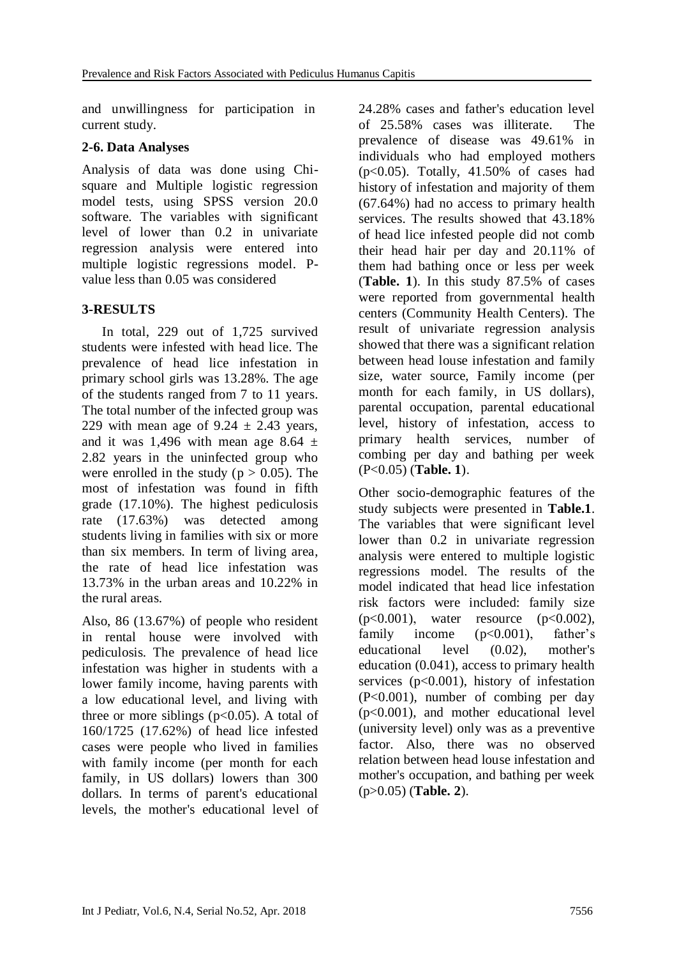and unwillingness for participation in current study.

## **2-6. Data Analyses**

Analysis of data was done using Chisquare and Multiple logistic regression model tests, using SPSS version 20.0 software. The variables with significant level of lower than 0.2 in univariate regression analysis were entered into multiple logistic regressions model. Pvalue less than 0.05 was considered

# **3-RESULTS**

 In total, 229 out of 1,725 survived students were infested with head lice. The prevalence of head lice infestation in primary school girls was 13.28%. The age of the students ranged from 7 to 11 years. The total number of the infected group was 229 with mean age of  $9.24 \pm 2.43$  years, and it was 1,496 with mean age 8.64  $\pm$ 2.82 years in the uninfected group who were enrolled in the study ( $p > 0.05$ ). The most of infestation was found in fifth grade (17.10%). The highest pediculosis rate (17.63%) was detected among students living in families with six or more than six members. In term of living area, the rate of head lice infestation was 13.73% in the urban areas and 10.22% in the rural areas.

Also, 86 (13.67%) of people who resident in rental house were involved with pediculosis. The prevalence of head lice infestation was higher in students with a lower family income, having parents with a low educational level, and living with three or more siblings ( $p<0.05$ ). A total of 160/1725 (17.62%) of head lice infested cases were people who lived in families with family income (per month for each family, in US dollars) lowers than 300 dollars. In terms of parent's educational levels, the mother's educational level of 24.28% cases and father's education level of 25.58% cases was illiterate. The prevalence of disease was 49.61% in individuals who had employed mothers  $(p<0.05)$ . Totally, 41.50% of cases had history of infestation and majority of them (67.64%) had no access to primary health services. The results showed that 43.18% of head lice infested people did not comb their head hair per day and 20.11% of them had bathing once or less per week (**Table. 1**). In this study 87.5% of cases were reported from governmental health centers (Community Health Centers). The result of univariate regression analysis showed that there was a significant relation between head louse infestation and family size, water source, Family income (per month for each family, in US dollars), parental occupation, parental educational level, history of infestation, access to primary health services, number of combing per day and bathing per week (P<0.05) (**Table. 1**).

Other socio-demographic features of the study subjects were presented in **Table.1**. The variables that were significant level lower than 0.2 in univariate regression analysis were entered to multiple logistic regressions model. The results of the model indicated that head lice infestation risk factors were included: family size  $(p<0.001)$ , water resource  $(p<0.002)$ , family income (p<0.001), father's educational level (0.02), mother's education (0.041), access to primary health services  $(p<0.001)$ , history of infestation (P<0.001), number of combing per day (p<0.001), and mother educational level (university level) only was as a preventive factor. Also, there was no observed relation between head louse infestation and mother's occupation, and bathing per week (p>0.05) (**Table. 2**).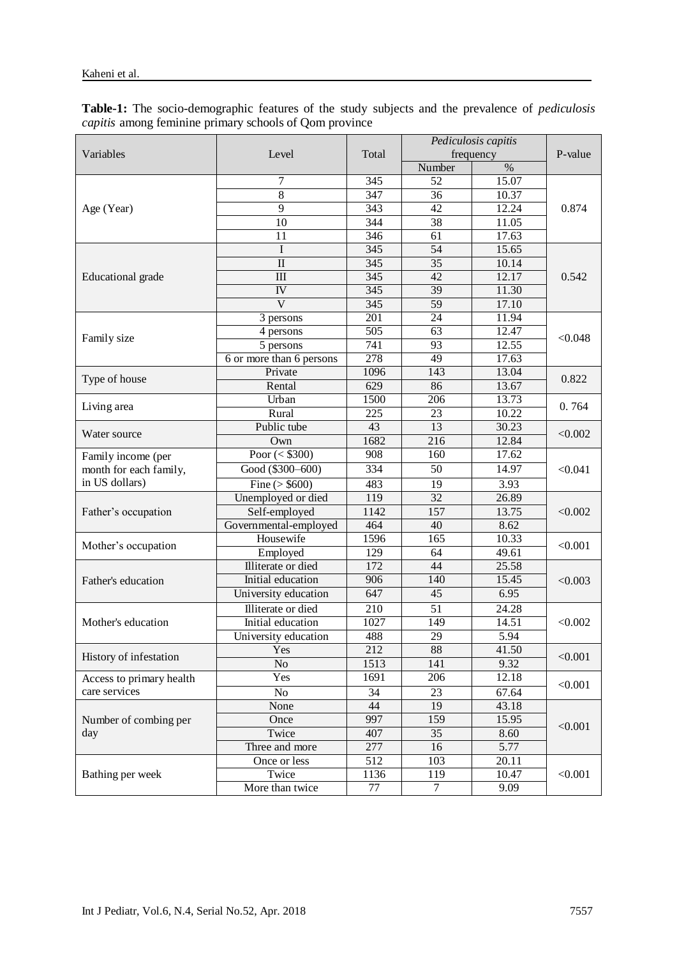**Table-1:** The socio-demographic features of the study subjects and the prevalence of *pediculosis capitis* among feminine primary schools of Qom province

|                              | Level                              | Total            | Pediculosis capitis |                | P-value          |  |
|------------------------------|------------------------------------|------------------|---------------------|----------------|------------------|--|
| Variables                    |                                    |                  | frequency           |                |                  |  |
|                              |                                    |                  | Number              | $\%$           |                  |  |
| Age (Year)                   | 7                                  | 345              | 52                  | 15.07          | 0.874            |  |
|                              | 8                                  | 347              | 36                  | 10.37          |                  |  |
|                              | $\overline{9}$                     | 343              | $\overline{42}$     | 12.24          |                  |  |
|                              | 10                                 | 344              | 38                  | 11.05          |                  |  |
|                              | 11                                 | 346              | 61                  | 17.63          |                  |  |
| <b>Educational</b> grade     | I                                  | 345              | 54                  | 15.65          |                  |  |
|                              | $\mathbf{I}$                       | 345              | 35                  | 10.14          |                  |  |
|                              | III                                | 345              | $\overline{42}$     | 12.17          | 0.542            |  |
|                              | IV                                 | 345              | 39                  | 11.30          |                  |  |
|                              | $\mathbf{V}$                       | 345              | 59                  | 17.10          |                  |  |
|                              | 3 persons                          | 201              | 24                  | 11.94          |                  |  |
|                              | 4 persons                          | 505              | $\overline{63}$     | 12.47          |                  |  |
| Family size                  | 5 persons                          | 741              | 93                  | 12.55          | < 0.048          |  |
|                              | 6 or more than 6 persons           | $\overline{278}$ | $\overline{49}$     | 17.63          |                  |  |
|                              | Private                            | 1096             | 143                 | 13.04          |                  |  |
| Type of house                | Rental                             | 629              | 86                  | 13.67          | 0.822            |  |
|                              | Urban                              | 1500             | 206                 | 13.73          |                  |  |
| Living area                  | Rural                              | 225              | 23                  | 10.22          | 0.764            |  |
|                              | Public tube                        | 43               | 13                  | 30.23          | < 0.002          |  |
| Water source                 | Own                                | 1682             | 216                 | 12.84          |                  |  |
| Family income (per           | Poor $(<$ \$300)                   | 908              | 160                 | 17.62          |                  |  |
| month for each family,       | Good (\$300-600)                   | 334              | 50                  | 14.97          | < 0.041          |  |
| in US dollars)               | Fine $($ > \$600)                  | 483              | 19                  | 3.93           |                  |  |
| Father's occupation          | Unemployed or died                 | 119              | 32                  |                | 26.89<br>< 0.002 |  |
|                              | Self-employed                      | 1142             | 157                 | 13.75          |                  |  |
|                              |                                    | 464              | 40                  | 8.62           |                  |  |
|                              | Governmental-employed<br>Housewife | 1596             | 165                 | 10.33          |                  |  |
| Mother's occupation          |                                    |                  |                     |                | < 0.001          |  |
|                              | Employed<br>Illiterate or died     | 129              | 64<br>44            | 49.61<br>25.58 |                  |  |
| Father's education           |                                    | 172              |                     |                |                  |  |
|                              | Initial education                  | 906              | 140                 | 15.45          | < 0.003          |  |
|                              | University education               | 647              | 45                  | 6.95           |                  |  |
| Mother's education           | Illiterate or died                 | 210              | 51                  | 24.28          | < 0.002          |  |
|                              | Initial education                  | 1027             | 149                 | 14.51          |                  |  |
|                              | University education               | 488              | 29                  | 5.94           |                  |  |
| History of infestation       | Yes                                | 212              | 88                  | 41.50          | < 0.001          |  |
|                              | N <sub>o</sub>                     | 1513             | 141                 | 9.32           |                  |  |
| Access to primary health     | Yes                                | 1691             | 206                 | 12.18          | < 0.001          |  |
| care services                | No                                 | 34               | 23                  | 67.64          |                  |  |
| Number of combing per<br>day | None                               | 44               | 19                  | 43.18          |                  |  |
|                              | 159<br>997<br>Once                 |                  | 15.95               | < 0.001        |                  |  |
|                              | Twice                              | 407              | 35                  | 8.60           |                  |  |
|                              | Three and more                     | 277              | 16                  | 5.77           |                  |  |
| Bathing per week             | Once or less                       | 512              | 103                 | 20.11          | < 0.001          |  |
|                              | Twice                              | 1136             | 119                 | 10.47          |                  |  |
|                              | More than twice                    | 77               | $\tau$              | 9.09           |                  |  |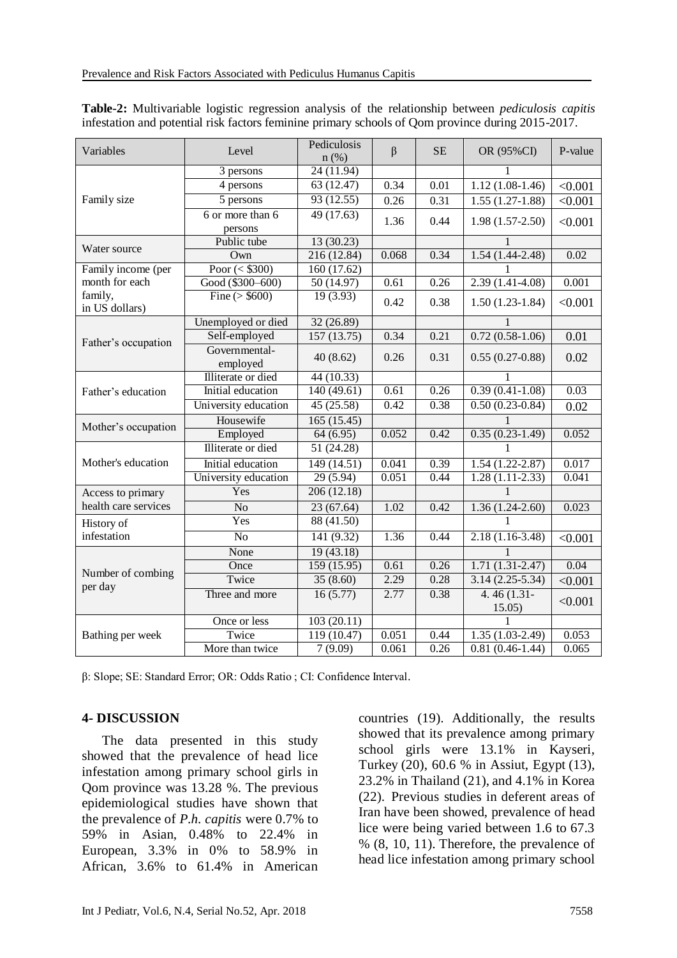| Variables                    | Level                     | Pediculosis | $\beta$           | <b>SE</b> | OR (95%CI)               | P-value |
|------------------------------|---------------------------|-------------|-------------------|-----------|--------------------------|---------|
|                              |                           | $n$ (%)     |                   |           |                          |         |
| Family size                  | 3 persons                 | 24 (11.94)  |                   |           | 1                        |         |
|                              | 4 persons                 | 63 (12.47)  | 0.34              | 0.01      | $1.12(1.08-1.46)$        | < 0.001 |
|                              | 5 persons                 | 93 (12.55)  | 0.26              | 0.31      | $1.55(1.27-1.88)$        | < 0.001 |
|                              | 6 or more than 6          | 49 (17.63)  | 1.36              | 0.44      | $1.98(1.57-2.50)$        | < 0.001 |
|                              | persons                   |             |                   |           |                          |         |
| Water source                 | Public tube               | 13(30.23)   |                   |           |                          |         |
|                              | Own                       | 216 (12.84) | 0.068             | 0.34      | $1.54(1.44-2.48)$        | 0.02    |
| Family income (per           | Poor $(<$ \$300)          | 160 (17.62) |                   |           | 1                        |         |
| month for each               | Good (\$300-600)          | 50 (14.97)  | 0.61              | 0.26      | $2.39(1.41-4.08)$        | 0.001   |
| family,<br>in US dollars)    | Fine ( $>$ \$600)         | 19(3.93)    | 0.42              | 0.38      | $1.50(1.23-1.84)$        | < 0.001 |
| Father's occupation          | Unemployed or died        | 32 (26.89)  |                   |           |                          |         |
|                              | Self-employed             | 157(13.75)  | 0.34              | 0.21      | $0.72(0.58-1.06)$        | 0.01    |
|                              | Governmental-<br>employed | 40(8.62)    | 0.26              | 0.31      | $0.55(0.27-0.88)$        | 0.02    |
|                              | Illiterate or died        | 44 (10.33)  |                   |           | 1                        |         |
| Father's education           | Initial education         | 140 (49.61) | $\overline{0.61}$ | 0.26      | $0.39(0.41-1.08)$        | 0.03    |
|                              | University education      | 45 (25.58)  | 0.42              | 0.38      | $0.50(0.23-0.84)$        | 0.02    |
| Mother's occupation          | Housewife                 | 165(15.45)  |                   |           | 1                        |         |
|                              | Employed                  | 64 (6.95)   | 0.052             | 0.42      | $0.35(0.23-1.49)$        | 0.052   |
| Mother's education           | Illiterate or died        | 51 (24.28)  |                   |           | 1                        |         |
|                              | Initial education         | 149 (14.51) | 0.041             | 0.39      | $1.54(1.22 - 2.87)$      | 0.017   |
|                              | University education      | 29 (5.94)   | 0.051             | 0.44      | $1.28(1.11-2.33)$        | 0.041   |
| Access to primary            | Yes                       | 206 (12.18) |                   |           |                          |         |
| health care services         | N <sub>o</sub>            | 23 (67.64)  | 1.02              | 0.42      | $1.36(1.24-2.60)$        | 0.023   |
| History of<br>infestation    | Yes                       | 88 (41.50)  |                   |           | 1                        |         |
|                              | N <sub>o</sub>            | 141 (9.32)  | 1.36              | 0.44      | $2.18(1.16-3.48)$        | < 0.001 |
| Number of combing<br>per day | None                      | 19 (43.18)  |                   |           | 1                        |         |
|                              | Once                      | 159 (15.95) | 0.61              | 0.26      | $1.71(1.31-2.47)$        | 0.04    |
|                              | Twice                     | 35(8.60)    | 2.29              | 0.28      | $3.14(2.25-5.34)$        | < 0.001 |
|                              | Three and more            | 16(5.77)    | 2.77              | 0.38      | 4.46 $(1.31 -$<br>15.05) | < 0.001 |
| Bathing per week             | Once or less              | 103(20.11)  |                   |           | 1                        |         |
|                              | Twice                     | 119 (10.47) | 0.051             | 0.44      | $1.35(1.03-2.49)$        | 0.053   |
|                              | More than twice           | 7(9.09)     | 0.061             | 0.26      | $0.81(0.46-1.44)$        | 0.065   |

**Table-2:** Multivariable logistic regression analysis of the relationship between *pediculosis capitis* infestation and potential risk factors feminine primary schools of Qom province during 2015-2017.

β: Slope; SE: Standard Error; OR: Odds Ratio ; CI: Confidence Interval.

#### **4- DISCUSSION**

 The data presented in this study showed that the prevalence of head lice infestation among primary school girls in Qom province was 13.28 %. The previous epidemiological studies have shown that the prevalence of *P.h. capitis* were 0.7% to 59% in Asian, 0.48% to 22.4% in European, 3.3% in 0% to 58.9% in African, 3.6% to 61.4% in American

countries (19). Additionally, the results showed that its prevalence among primary school girls were 13.1% in Kayseri, Turkey (20), 60.6 % in Assiut, Egypt (13), 23.2% in Thailand (21), and 4.1% in Korea (22). Previous studies in deferent areas of Iran have been showed, prevalence of head lice were being varied between 1.6 to 67.3 % (8, 10, 11). Therefore, the prevalence of head lice infestation among primary school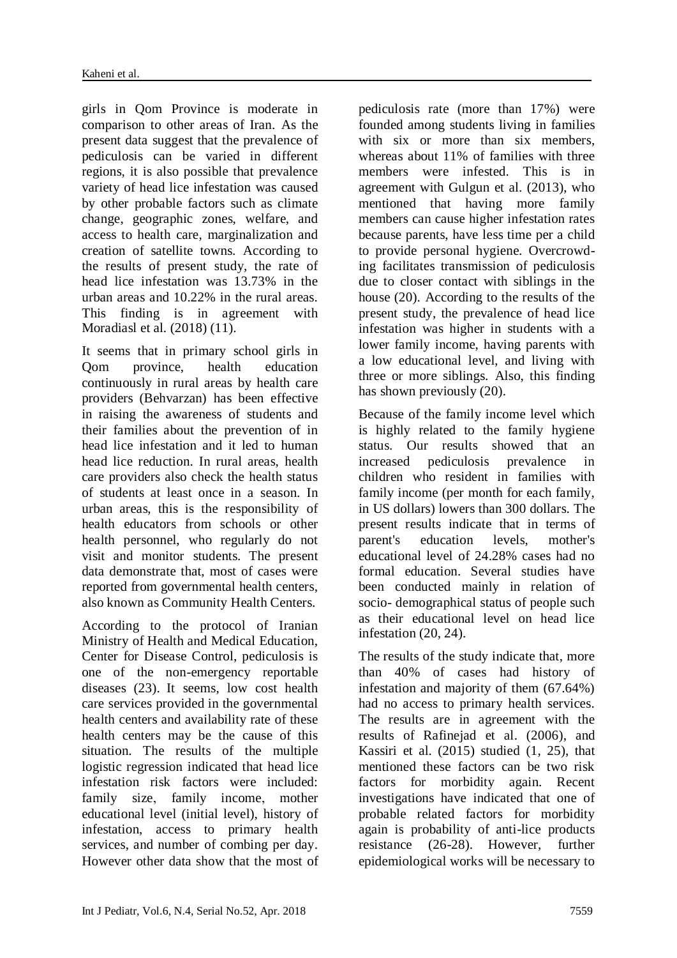girls in Qom Province is moderate in comparison to other areas of Iran. As the present data suggest that the prevalence of pediculosis can be varied in different regions, it is also possible that prevalence variety of head lice infestation was caused by other probable factors such as climate change, geographic zones, welfare, and access to health care, marginalization and creation of satellite towns. According to the results of present study, the rate of head lice infestation was 13.73% in the urban areas and 10.22% in the rural areas. This finding is in agreement with Moradiasl et al. (2018) (11).

It seems that in primary school girls in Qom province, health education continuously in rural areas by health care providers (Behvarzan) has been effective in raising the awareness of students and their families about the prevention of in head lice infestation and it led to human head lice reduction. In rural areas, health care providers also check the health status of students at least once in a season. In urban areas, this is the responsibility of health educators from schools or other health personnel, who regularly do not visit and monitor students. The present data demonstrate that, most of cases were reported from governmental health centers, also known as Community Health Centers.

According to the protocol of Iranian Ministry of Health and Medical Education, Center for Disease Control, pediculosis is one of the non-emergency reportable diseases (23). It seems, low cost health care services provided in the governmental health centers and availability rate of these health centers may be the cause of this situation. The results of the multiple logistic regression indicated that head lice infestation risk factors were included: family size, family income, mother educational level (initial level), history of infestation, access to primary health services, and number of combing per day. However other data show that the most of pediculosis rate (more than 17%) were founded among students living in families with six or more than six members, whereas about 11% of families with three members were infested. This is in agreement with Gulgun et al. (2013), who mentioned that having more family members can cause higher infestation rates because parents, have less time per a child to provide personal hygiene. Overcrowding facilitates transmission of pediculosis due to closer contact with siblings in the house (20). According to the results of the present study, the prevalence of head lice infestation was higher in students with a lower family income, having parents with a low educational level, and living with three or more siblings. Also, this finding has shown previously (20).

Because of the family income level which is highly related to the family hygiene status. Our results showed that an increased pediculosis prevalence in children who resident in families with family income (per month for each family, in US dollars) lowers than 300 dollars. The present results indicate that in terms of parent's education levels, mother's educational level of 24.28% cases had no formal education. Several studies have been conducted mainly in relation of socio- demographical status of people such as their educational level on head lice infestation (20, 24).

The results of the study indicate that, more than 40% of cases had history of infestation and majority of them (67.64%) had no access to primary health services. The results are in agreement with the results of Rafinejad et al. (2006), and Kassiri et al. (2015) studied (1, 25), that mentioned these factors can be two risk factors for morbidity again. Recent investigations have indicated that one of probable related factors for morbidity again is probability of anti-lice products resistance (26-28). However, further epidemiological works will be necessary to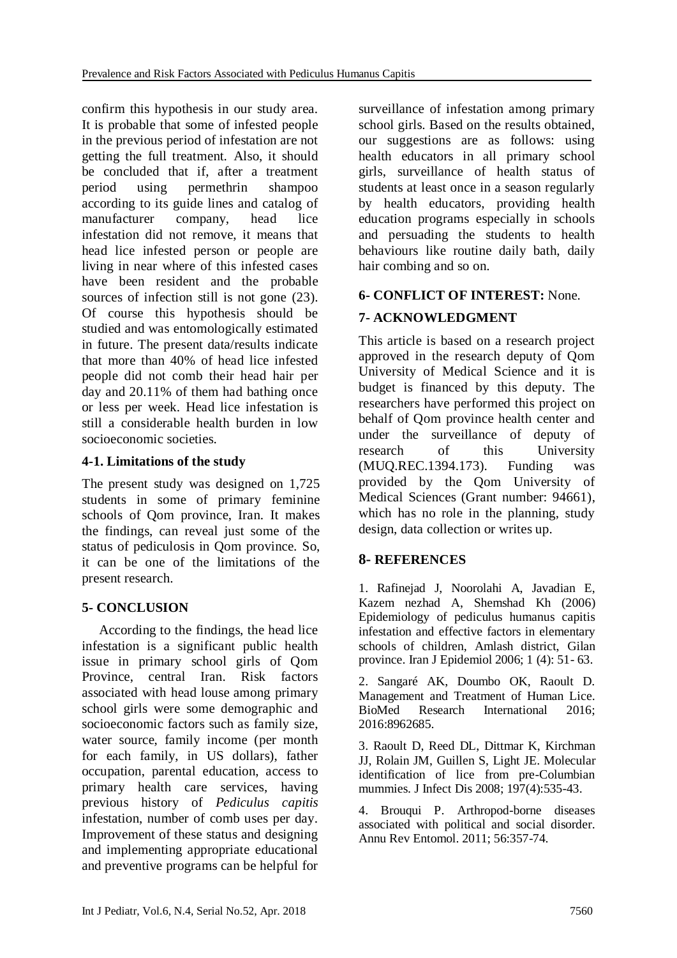confirm this hypothesis in our study area. It is probable that some of infested people in the previous period of infestation are not getting the full treatment. Also, it should be concluded that if, after a treatment period using permethrin shampoo according to its guide lines and catalog of manufacturer company, head lice infestation did not remove, it means that head lice infested person or people are living in near where of this infested cases have been resident and the probable sources of infection still is not gone (23). Of course this hypothesis should be studied and was entomologically estimated in future. The present data/results indicate that more than 40% of head lice infested people did not comb their head hair per day and 20.11% of them had bathing once or less per week. Head lice infestation is still a considerable health burden in low socioeconomic societies.

## **4-1. Limitations of the study**

The present study was designed on 1,725 students in some of primary feminine schools of Qom province, Iran. It makes the findings, can reveal just some of the status of pediculosis in Qom province. So, it can be one of the limitations of the present research.

# **5- CONCLUSION**

 According to the findings, the head lice infestation is a significant public health issue in primary school girls of Qom Province, central Iran. Risk factors associated with head louse among primary school girls were some demographic and socioeconomic factors such as family size, water source, family income (per month for each family, in US dollars), father occupation, parental education, access to primary health care services, having previous history of *Pediculus capitis*  infestation, number of comb uses per day. Improvement of these status and designing and implementing appropriate educational and preventive programs can be helpful for

surveillance of infestation among primary school girls. Based on the results obtained, our suggestions are as follows: using health educators in all primary school girls, surveillance of health status of students at least once in a season regularly by health educators, providing health education programs especially in schools and persuading the students to health behaviours like routine daily bath, daily hair combing and so on.

# **6- CONFLICT OF INTEREST:** None.

# **7- ACKNOWLEDGMENT**

This article is based on a research project approved in the research deputy of Qom University of Medical Science and it is budget is financed by this deputy. The researchers have performed this project on behalf of Qom province health center and under the surveillance of deputy of research of this University (MUQ.REC.1394.173). Funding was provided by the Qom University of Medical Sciences (Grant number: 94661), which has no role in the planning, study design, data collection or writes up.

# **8- REFERENCES**

1. Rafinejad J, Noorolahi A, Javadian E, Kazem nezhad A, Shemshad Kh (2006) Epidemiology of pediculus humanus capitis infestation and effective factors in elementary schools of children, Amlash district, Gilan province. Iran J Epidemiol 2006; 1 (4): 51- 63.

2. Sangaré AK, Doumbo OK, Raoult D. Management and Treatment of Human Lice. BioMed Research International 2016; 2016:8962685.

3. [Raoult D,](https://www.ncbi.nlm.nih.gov/pubmed/?term=Raoult%20D%5BAuthor%5D&cauthor=true&cauthor_uid=18254682) [Reed DL,](https://www.ncbi.nlm.nih.gov/pubmed/?term=Reed%20DL%5BAuthor%5D&cauthor=true&cauthor_uid=18254682) [Dittmar K,](https://www.ncbi.nlm.nih.gov/pubmed/?term=Dittmar%20K%5BAuthor%5D&cauthor=true&cauthor_uid=18254682) [Kirchman](https://www.ncbi.nlm.nih.gov/pubmed/?term=Kirchman%20JJ%5BAuthor%5D&cauthor=true&cauthor_uid=18254682)  [JJ,](https://www.ncbi.nlm.nih.gov/pubmed/?term=Kirchman%20JJ%5BAuthor%5D&cauthor=true&cauthor_uid=18254682) [Rolain JM,](https://www.ncbi.nlm.nih.gov/pubmed/?term=Rolain%20JM%5BAuthor%5D&cauthor=true&cauthor_uid=18254682) [Guillen S,](https://www.ncbi.nlm.nih.gov/pubmed/?term=Guillen%20S%5BAuthor%5D&cauthor=true&cauthor_uid=18254682) [Light JE.](https://www.ncbi.nlm.nih.gov/pubmed/?term=Light%20JE%5BAuthor%5D&cauthor=true&cauthor_uid=18254682) Molecular identification of lice from pre-Columbian mummies. [J Infect Dis](https://www.ncbi.nlm.nih.gov/pubmed/18254682) 2008; 197(4):535-43.

4. [Brouqui P.](https://www.ncbi.nlm.nih.gov/pubmed/?term=Brouqui%20P%5BAuthor%5D&cauthor=true&cauthor_uid=20822446) Arthropod-borne diseases associated with political and social disorder. [Annu Rev Entomol.](https://www.ncbi.nlm.nih.gov/pubmed/20822446) 2011; 56:357-74.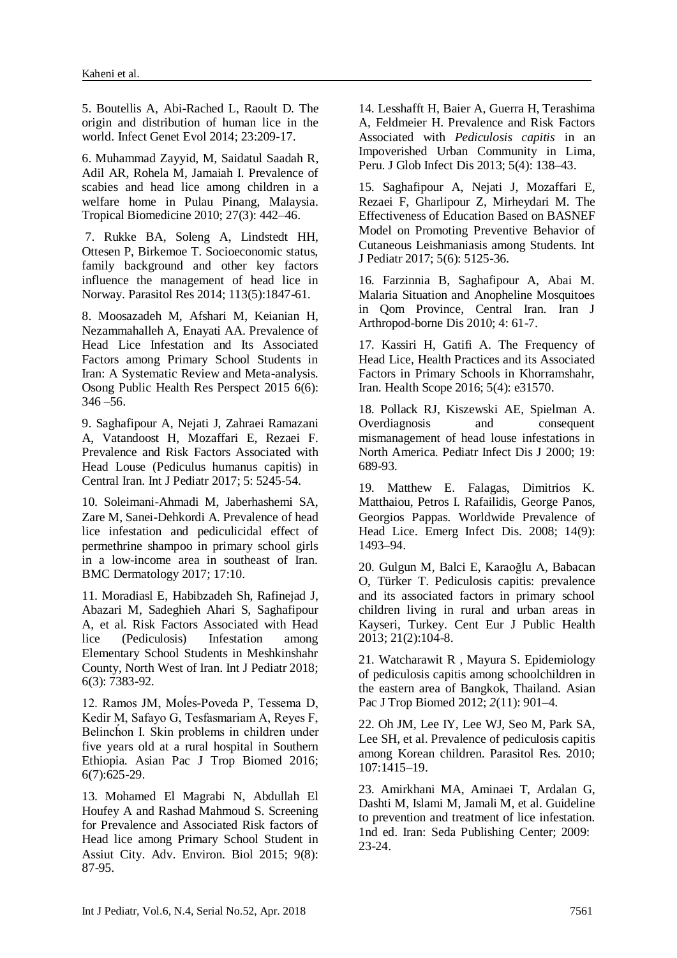5. [Boutellis A,](https://www.ncbi.nlm.nih.gov/pubmed/?term=Boutellis%20A%5BAuthor%5D&cauthor=true&cauthor_uid=24524985) [Abi-Rached L,](https://www.ncbi.nlm.nih.gov/pubmed/?term=Abi-Rached%20L%5BAuthor%5D&cauthor=true&cauthor_uid=24524985) [Raoult D.](https://www.ncbi.nlm.nih.gov/pubmed/?term=Raoult%20D%5BAuthor%5D&cauthor=true&cauthor_uid=24524985) The origin and distribution of human lice in the world. [Infect Genet Evol](https://www.ncbi.nlm.nih.gov/pubmed/24524985) 2014; 23:209-17.

6. Muhammad Zayyid, M, Saidatul Saadah R, Adil AR, Rohela M, Jamaiah I. Prevalence of scabies and head lice among children in a welfare home in Pulau Pinang, Malaysia. Tropical Biomedicine 2010; 27(3): 442–46.

7. Rukke BA, Soleng A, Lindstedt HH, Ottesen P, Birkemoe T. Socioeconomic status, family background and other key factors influence the management of head lice in Norway. Parasitol Res 2014; 113(5):1847-61.

8. Moosazadeh M, Afshari M, Keianian H, Nezammahalleh A, Enayati AA. Prevalence of Head Lice Infestation and Its Associated Factors among Primary School Students in Iran: A Systematic Review and Meta-analysis. Osong Public Health Res Perspect 2015 6(6):  $346 - 56$ .

9. Saghafipour A, Nejati J, Zahraei Ramazani A, Vatandoost H, Mozaffari E, Rezaei F. Prevalence and Risk Factors Associated with Head Louse (Pediculus humanus capitis) in Central Iran. Int J Pediatr 2017; 5: 5245-54.

10. Soleimani-Ahmadi M, Jaberhashemi SA, Zare M, Sanei-Dehkordi A. Prevalence of head lice infestation and pediculicidal effect of permethrine shampoo in primary school girls in a low-income area in southeast of Iran. BMC Dermatology 2017; 17:10.

11. Moradiasl E, Habibzadeh Sh, Rafinejad J, Abazari M, Sadeghieh Ahari S, Saghafipour A, et al. Risk Factors Associated with Head lice (Pediculosis) Infestation among Elementary School Students in Meshkinshahr County, North West of Iran. Int J Pediatr 2018; 6(3): 7383-92.

12. Ramos JM, Moĺes-Poveda P, Tessema D, Kedir M, Safayo G, Tesfasmariam A, Reyes F, Belinch́on I. Skin problems in children under five years old at a rural hospital in Southern Ethiopia. Asian Pac J Trop Biomed 2016; 6(7):625-29.

13. Mohamed El Magrabi N, Abdullah El Houfey A and Rashad Mahmoud S. Screening for Prevalence and Associated Risk factors of Head lice among Primary School Student in Assiut City. Adv. Environ. Biol 2015; 9(8): 87-95.

14. [Lesshafft](https://www.ncbi.nlm.nih.gov/pubmed/?term=Lesshafft%20H%5BAuthor%5D&cauthor=true&cauthor_uid=24672174) H, [Baier](https://www.ncbi.nlm.nih.gov/pubmed/?term=Baier%20A%5BAuthor%5D&cauthor=true&cauthor_uid=24672174) A, [Guerra](https://www.ncbi.nlm.nih.gov/pubmed/?term=Guerra%20H%5BAuthor%5D&cauthor=true&cauthor_uid=24672174) H, [Terashima](https://www.ncbi.nlm.nih.gov/pubmed/?term=Terashima%20A%5BAuthor%5D&cauthor=true&cauthor_uid=24672174) A, [Feldmeier](https://www.ncbi.nlm.nih.gov/pubmed/?term=Feldmeier%20H%5BAuthor%5D&cauthor=true&cauthor_uid=24672174) H. Prevalence and Risk Factors Associated with *Pediculosis capitis* in an Impoverished Urban Community in Lima, Peru. [J Glob Infect Dis](https://www.ncbi.nlm.nih.gov/pmc/articles/PMC3958982/) 2013; 5(4): 138–43.

15. Saghafipour A, Nejati J, Mozaffari E, Rezaei F, Gharlipour Z, Mirheydari M. The Effectiveness of Education Based on BASNEF Model on Promoting Preventive Behavior of Cutaneous Leishmaniasis among Students. Int J Pediatr 2017; 5(6): 5125-36.

16. Farzinnia B, Saghafipour A, Abai M. Malaria Situation and Anopheline Mosquitoes in Qom Province, Central Iran. Iran J Arthropod-borne Dis 2010; 4: 61-7.

17. Kassiri H, Gatifi A. The Frequency of Head Lice, Health Practices and its Associated Factors in Primary Schools in Khorramshahr, Iran. Health Scope 2016; 5(4): e31570.

18. Pollack RJ, Kiszewski AE, Spielman A. Overdiagnosis and consequent mismanagement of head louse infestations in North America. Pediatr Infect Dis J 2000; 19: 689-93.

19. [Matthew E. Falagas,](https://www.ncbi.nlm.nih.gov/pubmed/?term=Falagas%20ME%5BAuthor%5D&cauthor=true&cauthor_uid=18760032) [Dimitrios K.](https://www.ncbi.nlm.nih.gov/pubmed/?term=Matthaiou%20DK%5BAuthor%5D&cauthor=true&cauthor_uid=18760032)  [Matthaiou,](https://www.ncbi.nlm.nih.gov/pubmed/?term=Matthaiou%20DK%5BAuthor%5D&cauthor=true&cauthor_uid=18760032) [Petros I. Rafailidis,](https://www.ncbi.nlm.nih.gov/pubmed/?term=Rafailidis%20PI%5BAuthor%5D&cauthor=true&cauthor_uid=18760032) [George Panos,](https://www.ncbi.nlm.nih.gov/pubmed/?term=Panos%20G%5BAuthor%5D&cauthor=true&cauthor_uid=18760032) [Georgios Pappas.](https://www.ncbi.nlm.nih.gov/pubmed/?term=Pappas%20G%5BAuthor%5D&cauthor=true&cauthor_uid=18760032) Worldwide Prevalence of Head Lice. [Emerg Infect Dis.](https://www.ncbi.nlm.nih.gov/pmc/articles/PMC2603110/) 2008; 14(9): 1493–94.

20. [Gulgun M,](https://www.ncbi.nlm.nih.gov/pubmed/?term=Gulgun%20M%5BAuthor%5D&cauthor=true&cauthor_uid=24053067) [Balci E,](https://www.ncbi.nlm.nih.gov/pubmed/?term=Balci%20E%5BAuthor%5D&cauthor=true&cauthor_uid=24053067) [Karaoğlu A,](https://www.ncbi.nlm.nih.gov/pubmed/?term=Karao%C4%9Flu%20A%5BAuthor%5D&cauthor=true&cauthor_uid=24053067) [Babacan](https://www.ncbi.nlm.nih.gov/pubmed/?term=Babacan%20O%5BAuthor%5D&cauthor=true&cauthor_uid=24053067)  [O,](https://www.ncbi.nlm.nih.gov/pubmed/?term=Babacan%20O%5BAuthor%5D&cauthor=true&cauthor_uid=24053067) [Türker T.](https://www.ncbi.nlm.nih.gov/pubmed/?term=T%C3%BCrker%20T%5BAuthor%5D&cauthor=true&cauthor_uid=24053067) Pediculosis capitis: prevalence and its associated factors in primary school children living in rural and urban areas in Kayseri, Turkey. [Cent Eur J Public Health](https://www.ncbi.nlm.nih.gov/pubmed/24053067) 2013; 21(2):104-8.

21. [Watcharawit R](https://www.ncbi.nlm.nih.gov/pubmed/?term=Rassami%20W%5BAuthor%5D&cauthor=true&cauthor_uid=23569868) , [Mayura S.](https://www.ncbi.nlm.nih.gov/pubmed/?term=Soonwera%20M%5BAuthor%5D&cauthor=true&cauthor_uid=23569868) Epidemiology of pediculosis capitis among schoolchildren in the eastern area of Bangkok, Thailand. [Asian](https://www.ncbi.nlm.nih.gov/pmc/articles/PMC3609239/)  [Pac J Trop Biomed](https://www.ncbi.nlm.nih.gov/pmc/articles/PMC3609239/) 2012; *2*(11): 901–4.

22. Oh JM, Lee IY, Lee WJ, Seo M, Park SA, Lee SH, et al. Prevalence of pediculosis capitis among Korean children. Parasitol Res. 2010; 107:1415–19.

23. Amirkhani MA, Aminaei T, Ardalan G, Dashti M, Islami M, Jamali M, et al. Guideline to prevention and treatment of lice infestation. 1nd ed. Iran: Seda Publishing Center; 2009: 23-24.